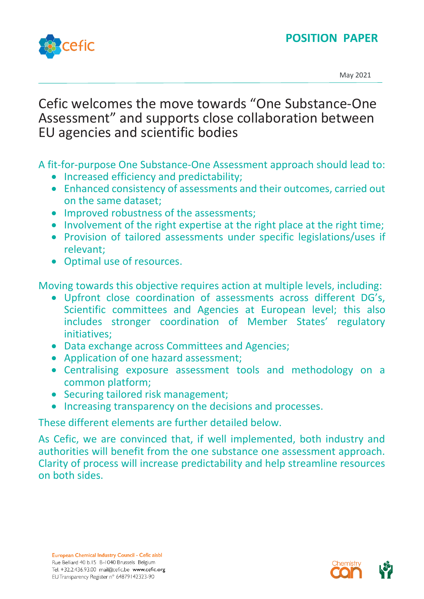



May 2021

# Cefic welcomes the move towards "One Substance-One Assessment" and supports close collaboration between EU agencies and scientific bodies

A fit-for-purpose One Substance-One Assessment approach should lead to:

- Increased efficiency and predictability;
- Enhanced consistency of assessments and their outcomes, carried out on the same dataset;
- Improved robustness of the assessments;
- Involvement of the right expertise at the right place at the right time;
- Provision of tailored assessments under specific legislations/uses if relevant;
- Optimal use of resources.

Moving towards this objective requires action at multiple levels, including:

- Upfront close coordination of assessments across different DG's, Scientific committees and Agencies at European level; this also includes stronger coordination of Member States' regulatory initiatives;
- Data exchange across Committees and Agencies;
- Application of one hazard assessment;
- Centralising exposure assessment tools and methodology on a common platform;
- Securing tailored risk management;
- Increasing transparency on the decisions and processes.

These different elements are further detailed below.

As Cefic, we are convinced that, if well implemented, both industry and authorities will benefit from the one substance one assessment approach. Clarity of process will increase predictability and help streamline resources on both sides.

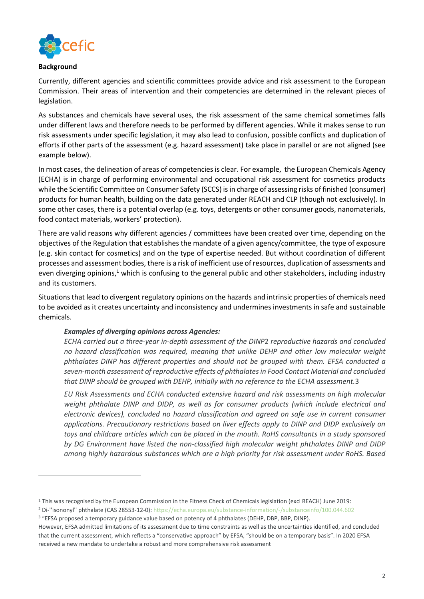

#### **Background**

Currently, different agencies and scientific committees provide advice and risk assessment to the European Commission. Their areas of intervention and their competencies are determined in the relevant pieces of legislation.

As substances and chemicals have several uses, the risk assessment of the same chemical sometimes falls under different laws and therefore needs to be performed by different agencies. While it makes sense to run risk assessments under specific legislation, it may also lead to confusion, possible conflicts and duplication of efforts if other parts of the assessment (e.g. hazard assessment) take place in parallel or are not aligned (see example below).

In most cases, the delineation of areas of competencies is clear. For example, the European Chemicals Agency (ECHA) is in charge of performing environmental and occupational risk assessment for cosmetics products while the Scientific Committee on Consumer Safety (SCCS) is in charge of assessing risks of finished (consumer) products for human health, building on the data generated under REACH and CLP (though not exclusively). In some other cases, there is a potential overlap (e.g. toys, detergents or other consumer goods, nanomaterials, food contact materials, workers' protection).

There are valid reasons why different agencies / committees have been created over time, depending on the objectives of the Regulation that establishes the mandate of a given agency/committee, the type of exposure (e.g. skin contact for cosmetics) and on the type of expertise needed. But without coordination of different processes and assessment bodies, there is a risk of inefficient use of resources, duplication of assessments and even diverging opinions, $1$  which is confusing to the general public and other stakeholders, including industry and its customers.

Situations that lead to divergent regulatory opinions on the hazards and intrinsic properties of chemicals need to be avoided as it creates uncertainty and inconsistency and undermines investments in safe and sustainable chemicals.

# *Examples of diverging opinions across Agencies:*

*ECHA carried out a three-year in-depth assessment of the DINP*2 *reproductive hazards and concluded no hazard classification was required, meaning that unlike DEHP and other low molecular weight phthalates DINP has different properties and should not be grouped with them. EFSA conducted a seven-month assessment of reproductive effects of phthalates in Food Contact Material and concluded that DINP should be grouped with DEHP, initially with no reference to the ECHA assessment.*3

*EU Risk Assessments and ECHA conducted extensive hazard and risk assessments on high molecular weight phthalate DINP and DIDP, as well as for consumer products (which include electrical and electronic devices), concluded no hazard classification and agreed on safe use in current consumer applications. Precautionary restrictions based on liver effects apply to DINP and DIDP exclusively on toys and childcare articles which can be placed in the mouth. RoHS consultants in a study sponsored by DG Environment have listed the non-classified high molecular weight phthalates DINP and DIDP among highly hazardous substances which are a high priority for risk assessment under RoHS. Based* 

<sup>1</sup> This was recognised by the European Commission in the Fitness Check of Chemicals legislation (excl REACH) June 2019:

<sup>2</sup> Di-''isononyl'' phthalate (CAS 28553-12-0)[: https://echa.europa.eu/substance-information/-/substanceinfo/100.044.602](https://echa.europa.eu/substance-information/-/substanceinfo/100.044.602)

<sup>&</sup>lt;sup>3</sup> "EFSA proposed a temporary guidance value based on potency of 4 phthalates (DEHP, DBP, BBP, DINP).

However, EFSA admitted limitations of its assessment due to time constraints as well as the uncertainties identified, and concluded that the current assessment, which reflects a "conservative approach" by EFSA, "should be on a temporary basis". In 2020 EFSA received a new mandate to undertake a robust and more comprehensive risk assessment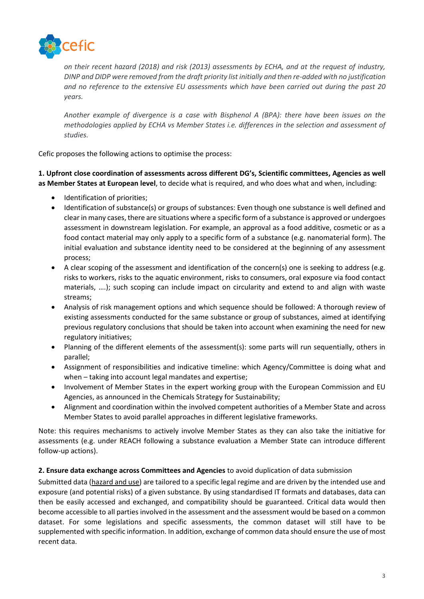

*on their recent hazard (2018) and risk (2013) assessments by ECHA, and at the request of industry, DINP and DIDP were removed from the draft priority list initially and then re-added with no justification and no reference to the extensive EU assessments which have been carried out during the past 20 years.*

*Another example of divergence is a case with Bisphenol A (BPA): there have been issues on the methodologies applied by ECHA vs Member States i.e. differences in the selection and assessment of studies.* 

Cefic proposes the following actions to optimise the process:

**1. Upfront close coordination of assessments across different DG's, Scientific committees, Agencies as well as Member States at European level**, to decide what is required, and who does what and when, including:

- Identification of priorities;
- Identification of substance(s) or groups of substances: Even though one substance is well defined and clear in many cases, there are situations where a specific form of a substance is approved or undergoes assessment in downstream legislation. For example, an approval as a food additive, cosmetic or as a food contact material may only apply to a specific form of a substance (e.g. nanomaterial form). The initial evaluation and substance identity need to be considered at the beginning of any assessment process;
- A clear scoping of the assessment and identification of the concern(s) one is seeking to address (e.g. risks to workers, risks to the aquatic environment, risks to consumers, oral exposure via food contact materials, ….); such scoping can include impact on circularity and extend to and align with waste streams;
- Analysis of risk management options and which sequence should be followed: A thorough review of existing assessments conducted for the same substance or group of substances, aimed at identifying previous regulatory conclusions that should be taken into account when examining the need for new regulatory initiatives;
- Planning of the different elements of the assessment(s): some parts will run sequentially, others in parallel;
- Assignment of responsibilities and indicative timeline: which Agency/Committee is doing what and when – taking into account legal mandates and expertise;
- Involvement of Member States in the expert working group with the European Commission and EU Agencies, as announced in the Chemicals Strategy for Sustainability;
- Alignment and coordination within the involved competent authorities of a Member State and across Member States to avoid parallel approaches in different legislative frameworks.

Note: this requires mechanisms to actively involve Member States as they can also take the initiative for assessments (e.g. under REACH following a substance evaluation a Member State can introduce different follow-up actions).

# **2. Ensure data exchange across Committees and Agencies** to avoid duplication of data submission

Submitted data (hazard and use) are tailored to a specific legal regime and are driven by the intended use and exposure (and potential risks) of a given substance. By using standardised IT formats and databases, data can then be easily accessed and exchanged, and compatibility should be guaranteed. Critical data would then become accessible to all parties involved in the assessment and the assessment would be based on a common dataset. For some legislations and specific assessments, the common dataset will still have to be supplemented with specific information. In addition, exchange of common data should ensure the use of most recent data.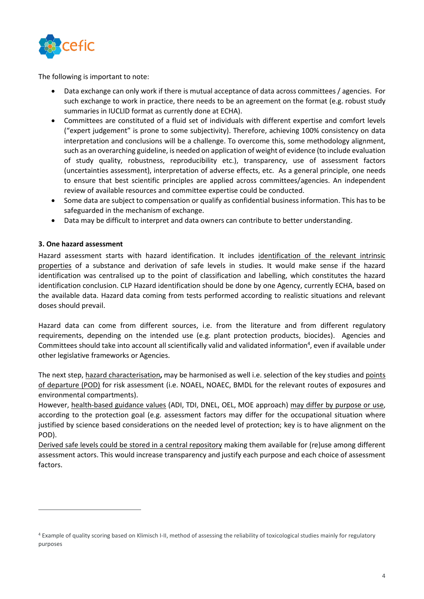

The following is important to note:

- Data exchange can only work if there is mutual acceptance of data across committees / agencies. For such exchange to work in practice, there needs to be an agreement on the format (e.g. robust study summaries in IUCLID format as currently done at ECHA).
- Committees are constituted of a fluid set of individuals with different expertise and comfort levels ("expert judgement" is prone to some subjectivity). Therefore, achieving 100% consistency on data interpretation and conclusions will be a challenge. To overcome this, some methodology alignment, such as an overarching guideline, is needed on application of weight of evidence (to include evaluation of study quality, robustness, reproducibility etc.), transparency, use of assessment factors (uncertainties assessment), interpretation of adverse effects, etc. As a general principle, one needs to ensure that best scientific principles are applied across committees/agencies. An independent review of available resources and committee expertise could be conducted.
- Some data are subject to compensation or qualify as confidential business information. This has to be safeguarded in the mechanism of exchange.
- Data may be difficult to interpret and data owners can contribute to better understanding.

### **3. One hazard assessment**

Hazard assessment starts with hazard identification. It includes identification of the relevant intrinsic properties of a substance and derivation of safe levels in studies. It would make sense if the hazard identification was centralised up to the point of classification and labelling, which constitutes the hazard identification conclusion. CLP Hazard identification should be done by one Agency, currently ECHA, based on the available data. Hazard data coming from tests performed according to realistic situations and relevant doses should prevail.

Hazard data can come from different sources, i.e. from the literature and from different regulatory requirements, depending on the intended use (e.g. plant protection products, biocides). Agencies and Committees should take into account all scientifically valid and validated information<sup>4</sup>, even if available under other legislative frameworks or Agencies.

The next step, hazard characterisation**,** may be harmonised as well i.e. selection of the key studies and points of departure (POD) for risk assessment (i.e. NOAEL, NOAEC, BMDL for the relevant routes of exposures and environmental compartments).

However, health-based guidance values (ADI, TDI, DNEL, OEL, MOE approach) may differ by purpose or use, according to the protection goal (e.g. assessment factors may differ for the occupational situation where justified by science based considerations on the needed level of protection; key is to have alignment on the POD).

Derived safe levels could be stored in a central repository making them available for (re)use among different assessment actors. This would increase transparency and justify each purpose and each choice of assessment factors.

<sup>4</sup> Example of quality scoring based on Klimisch I-II, method of assessing the reliability of toxicological studies mainly for regulatory purposes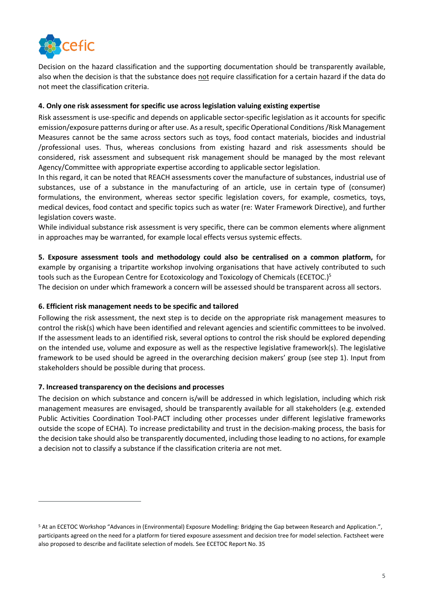

Decision on the hazard classification and the supporting documentation should be transparently available, also when the decision is that the substance does not require classification for a certain hazard if the data do not meet the classification criteria.

# **4. Only one risk assessment for specific use across legislation valuing existing expertise**

Risk assessment is use-specific and depends on applicable sector-specific legislation as it accounts for specific emission/exposure patterns during or after use. As a result, specific Operational Conditions /Risk Management Measures cannot be the same across sectors such as toys, food contact materials, biocides and industrial /professional uses. Thus, whereas conclusions from existing hazard and risk assessments should be considered, risk assessment and subsequent risk management should be managed by the most relevant Agency/Committee with appropriate expertise according to applicable sector legislation.

In this regard, it can be noted that REACH assessments cover the manufacture of substances, industrial use of substances, use of a substance in the manufacturing of an article, use in certain type of (consumer) formulations, the environment, whereas sector specific legislation covers, for example, cosmetics, toys, medical devices, food contact and specific topics such as water (re: Water Framework Directive), and further legislation covers waste.

While individual substance risk assessment is very specific, there can be common elements where alignment in approaches may be warranted, for example local effects versus systemic effects.

**5. Exposure assessment tools and methodology could also be centralised on a common platform,** for example by organising a tripartite workshop involving organisations that have actively contributed to such tools such as the European Centre for Ecotoxicology and Toxicology of Chemicals (ECETOC.) 5 The decision on under which framework a concern will be assessed should be transparent across all sectors.

# **6. Efficient risk management needs to be specific and tailored**

Following the risk assessment, the next step is to decide on the appropriate risk management measures to control the risk(s) which have been identified and relevant agencies and scientific committees to be involved. If the assessment leads to an identified risk, several options to control the risk should be explored depending on the intended use, volume and exposure as well as the respective legislative framework(s). The legislative framework to be used should be agreed in the overarching decision makers' group (see step 1). Input from stakeholders should be possible during that process.

#### **7. Increased transparency on the decisions and processes**

The decision on which substance and concern is/will be addressed in which legislation, including which risk management measures are envisaged, should be transparently available for all stakeholders (e.g. extended Public Activities Coordination Tool-PACT including other processes under different legislative frameworks outside the scope of ECHA). To increase predictability and trust in the decision-making process, the basis for the decision take should also be transparently documented, including those leading to no actions, for example a decision not to classify a substance if the classification criteria are not met.

<sup>5</sup> At an ECETOC Workshop "Advances in (Environmental) Exposure Modelling: Bridging the Gap between Research and Application.", participants agreed on the need for a platform for tiered exposure assessment and decision tree for model selection. Factsheet were also proposed to describe and facilitate selection of models. See ECETOC Report No. 35